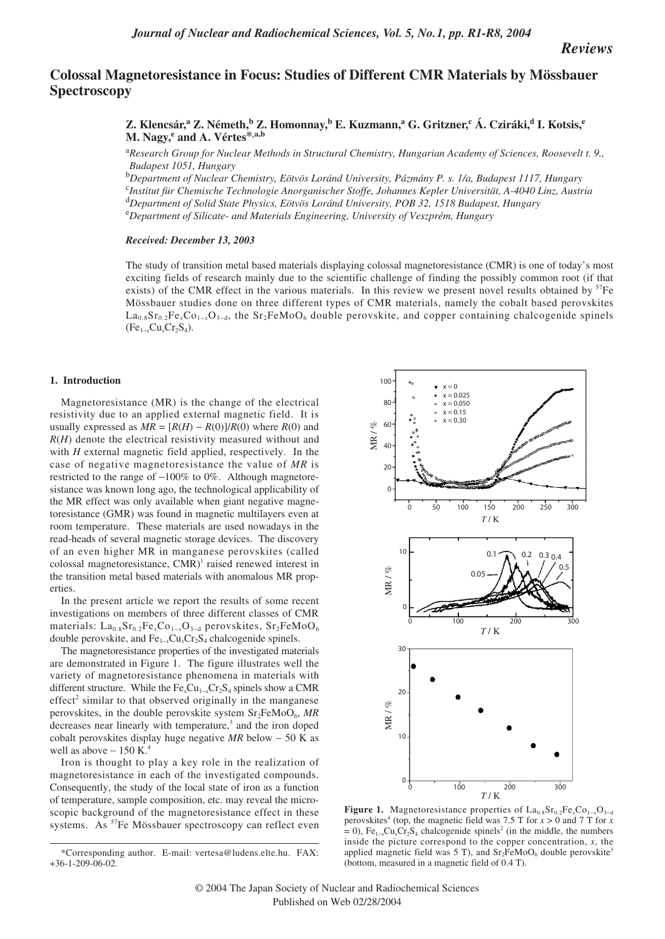*Reviews*

# **Colossal Magnetoresistance in Focus: Studies of Different CMR Materials by Mössbauer Spectroscopy**

**Z. Klencsár,a Z. Németh,<sup>b</sup> Z. Homonnay,<sup>b</sup> E. Kuzmann,<sup>a</sup> G. Gritzner,<sup>c</sup> Á. Cziráki,<sup>d</sup> I. Kotsis,<sup>e</sup> M. Nagy,e and A. Vértes\*,a,b**

a *Research Group for Nuclear Methods in Structural Chemistry, Hungarian Academy of Sciences, Roosevelt t. 9., Budapest 1051, Hungary*

b *Department of Nuclear Chemistry, Eötvös Loránd University, Pázmány P. s. 1/a, Budapest 1117, Hungary* c *Institut für Chemische Technologie Anorganischer Stoffe, Johannes Kepler Universität, A-4040 Linz, Austria* <sup>d</sup> Department of Solid State Physics, Eötvös Loránd University, POB 32, 1518 Budapest, Hungary<br><sup>e</sup> Department of Silicate, and Materials Engineering, University of Vesznrám, Hungary *Department of Silicate- and Materials Engineering, University of Veszprém, Hungary*

#### *Received: December 13, 2003*

The study of transition metal based materials displaying colossal magnetoresistance (CMR) is one of today's most exciting fields of research mainly due to the scientific challenge of finding the possibly common root (if that exists) of the CMR effect in the various materials. In this review we present novel results obtained by <sup>57</sup>Fe Mössbauer studies done on three different types of CMR materials, namely the cobalt based perovskites La0.8Sr0.2Fe*x*Co1<sup>−</sup>*x*O3−d, the Sr2FeMoO6 double perovskite, and copper containing chalcogenide spinels  $(Fe_{1-x}Cu_xCr_2S_4).$ 

# **1. Introduction**

Magnetoresistance (MR) is the change of the electrical resistivity due to an applied external magnetic field. It is usually expressed as  $MR = [R(H) - R(0)]/R(0)$  where  $R(0)$  and *R*(*H*) denote the electrical resistivity measured without and with *H* external magnetic field applied, respectively. In the case of negative magnetoresistance the value of *MR* is restricted to the range of −100% to 0%. Although magnetoresistance was known long ago, the technological applicability of the MR effect was only available when giant negative magnetoresistance (GMR) was found in magnetic multilayers even at room temperature. These materials are used nowadays in the read-heads of several magnetic storage devices. The discovery of an even higher MR in manganese perovskites (called colossal magnetoresistance,  $CMR$ <sup>1</sup> raised renewed interest in the transition metal based materials with anomalous MR properties.

In the present article we report the results of some recent investigations on members of three different classes of CMR materials: La<sub>0.8</sub>Sr<sub>0.2</sub>Fe<sub>*x*</sub>Co<sub>1−*x*</sub>O<sub>3−d</sub> perovskites, Sr<sub>2</sub>FeMoO<sub>6</sub> double perovskite, and Fe1<sup>−</sup>*x*Cu*x*Cr2S4 chalcogenide spinels.

The magnetoresistance properties of the investigated materials are demonstrated in Figure 1. The figure illustrates well the variety of magnetoresistance phenomena in materials with different structure. While the Fe<sub>*x*</sub>Cu<sub>1−*x*</sub>Cr<sub>2</sub>S<sub>4</sub> spinels show a CMR  $effect<sup>2</sup> similar to that observed originally in the manganese$ perovskites, in the double perovskite system  $Sr<sub>2</sub>FeMoO<sub>6</sub>$ , MR decreases near linearly with temperature,<sup>3</sup> and the iron doped cobalt perovskites display huge negative *MR* below ∼ 50 K as well as above  $\sim 150$  K.<sup>4</sup>

Iron is thought to play a key role in the realization of magnetoresistance in each of the investigated compounds. Consequently, the study of the local state of iron as a function of temperature, sample composition, etc. may reveal the microscopic background of the magnetoresistance effect in these systems. As <sup>57</sup>Fe Mössbauer spectroscopy can reflect even



**Figure 1.** Magnetoresistance properties of  $La<sub>0.8</sub>Sr<sub>0.2</sub>Fe<sub>x</sub>Co<sub>1-x</sub>O<sub>3-d</sub>$ perovskites<sup>4</sup> (top, the magnetic field was 7.5 T for  $x > 0$  and 7 T for  $x$  $= 0$ ), Fe<sub>1–*x*</sub>Cu<sub>*x*</sub>Cr<sub>2</sub>S<sub>4</sub> chalcogenide spinels<sup>2</sup> (in the middle, the numbers inside the picture correspond to the copper concentration, *x*, the applied magnetic field was 5 T), and  $Sr<sub>2</sub>FeMoO<sub>6</sub>$  double perovskite<sup>3</sup> (bottom, measured in a magnetic field of 0.4 T).

<sup>\*</sup>Corresponding author. E-mail: vertesa@ludens.elte.hu. FAX: +36-1-209-06-02.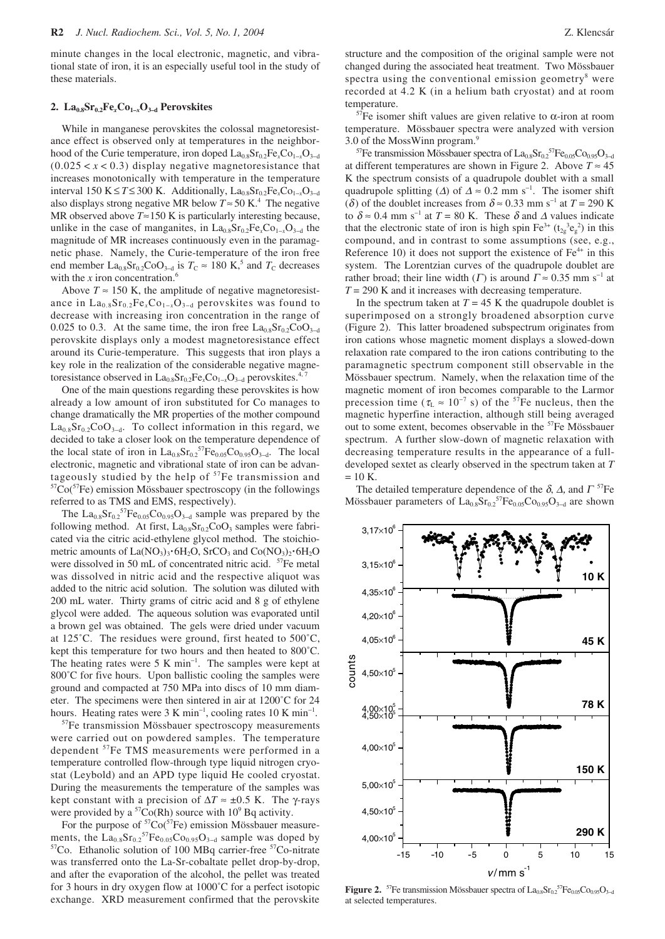minute changes in the local electronic, magnetic, and vibrational state of iron, it is an especially useful tool in the study of these materials.

### **2. La0.8Sr0.2Fe***x***Co1–***x***O3–d Perovskites**

While in manganese perovskites the colossal magnetoresistance effect is observed only at temperatures in the neighborhood of the Curie temperature, iron doped La<sub>0.8</sub>Sr<sub>0.2</sub>Fe<sub>*x*</sub>Co<sub>1−*x*</sub>O<sub>3−d</sub>  $(0.025 < x < 0.3)$  display negative magnetoresistance that increases monotonically with temperature in the temperature interval 150 K ≤  $T$  ≤ 300 K. Additionally,  $La<sub>0.8</sub>Sr<sub>0.2</sub>Fe<sub>x</sub>Co<sub>1−*x*</sub>O<sub>3−d</sub>$ also displays strong negative MR below  $T \approx 50 \text{ K}^4$ . The negative MR observed above  $T \approx 150$  K is particularly interesting because, unlike in the case of manganites, in  $La<sub>0.8</sub>Sr<sub>0.2</sub>Fe<sub>x</sub>Co<sub>1-x</sub>O<sub>3-d</sub>$  the magnitude of MR increases continuously even in the paramagnetic phase. Namely, the Curie-temperature of the iron free end member La<sub>0.8</sub>Sr<sub>0.2</sub>CoO<sub>3−d</sub> is  $T_c \approx 180$  K,<sup>5</sup> and  $T_c$  decreases with the  $x$  iron concentration.<sup>6</sup>

Above  $T \approx 150$  K, the amplitude of negative magnetoresistance in  $La<sub>0.8</sub>Sr<sub>0.2</sub>Fe<sub>x</sub>Co<sub>1-x</sub>O<sub>3-d</sub>$  perovskites was found to decrease with increasing iron concentration in the range of 0.025 to 0.3. At the same time, the iron free  $La<sub>0.8</sub>Sr<sub>0.2</sub>CoO<sub>3-d</sub>$ perovskite displays only a modest magnetoresistance effect around its Curie-temperature. This suggests that iron plays a key role in the realization of the considerable negative magnetoresistance observed in La<sub>0.8</sub>Sr<sub>0.2</sub>Fe<sub>*x*</sub>Co<sub>1−*x*</sub>O<sub>3−d</sub> perovskites.<sup>4,7</sup>

One of the main questions regarding these perovskites is how already a low amount of iron substituted for Co manages to change dramatically the MR properties of the mother compound  $La<sub>0.8</sub>Sr<sub>0.2</sub>CoO<sub>3-d</sub>$ . To collect information in this regard, we decided to take a closer look on the temperature dependence of the local state of iron in  $La<sub>0.8</sub>Sr<sub>0.2</sub><sup>57</sup>Fe<sub>0.05</sub>Co<sub>0.95</sub>O<sub>3-d</sub>.$  The local electronic, magnetic and vibrational state of iron can be advantageously studied by the help of  $57Fe$  transmission and  $57Co(57Fe)$  emission Mössbauer spectroscopy (in the followings referred to as TMS and EMS, respectively).

The  $La_{0.8}Sr_{0.2}^{57}Fe_{0.05}Co_{0.95}O_{3-d}$  sample was prepared by the following method. At first,  $La<sub>0.8</sub>Sr<sub>0.2</sub>CoO<sub>3</sub>$  samples were fabricated via the citric acid-ethylene glycol method. The stoichiometric amounts of La(NO<sub>3</sub>)<sub>3</sub>·6H<sub>2</sub>O, SrCO<sub>3</sub> and Co(NO<sub>3</sub>)<sub>2</sub>·6H<sub>2</sub>O were dissolved in 50 mL of concentrated nitric acid. <sup>57</sup>Fe metal was dissolved in nitric acid and the respective aliquot was added to the nitric acid solution. The solution was diluted with 200 mL water. Thirty grams of citric acid and 8 g of ethylene glycol were added. The aqueous solution was evaporated until a brown gel was obtained. The gels were dried under vacuum at 125˚C. The residues were ground, first heated to 500˚C, kept this temperature for two hours and then heated to 800˚C. The heating rates were  $5 K min^{-1}$ . The samples were kept at 800<sup>°</sup>C for five hours. Upon ballistic cooling the samples were ground and compacted at 750 MPa into discs of 10 mm diameter. The specimens were then sintered in air at 1200˚C for 24 hours. Heating rates were 3 K min<sup>-1</sup>, cooling rates 10 K min<sup>-1</sup>.

<sup>57</sup>Fe transmission Mössbauer spectroscopy measurements were carried out on powdered samples. The temperature dependent <sup>57</sup>Fe TMS measurements were performed in a temperature controlled flow-through type liquid nitrogen cryostat (Leybold) and an APD type liquid He cooled cryostat. During the measurements the temperature of the samples was kept constant with a precision of ∆*T* ≈ ±0.5 K. The γ-rays were provided by a  ${}^{57}Co(Rh)$  source with  $10^9$  Bq activity.

For the purpose of <sup>57</sup>Co(<sup>57</sup>Fe) emission Mössbauer measurements, the  $La_{0.8}Sr_{0.2}^{57}Fe_{0.05}Co_{0.95}O_{3-d}$  sample was doped by  $57Co$ . Ethanolic solution of 100 MBq carrier-free  $57Co$ -nitrate was transferred onto the La-Sr-cobaltate pellet drop-by-drop, and after the evaporation of the alcohol, the pellet was treated for 3 hours in dry oxygen flow at 1000˚C for a perfect isotopic exchange. XRD measurement confirmed that the perovskite

structure and the composition of the original sample were not changed during the associated heat treatment. Two Mössbauer spectra using the conventional emission geometry $8$  were recorded at 4.2 K (in a helium bath cryostat) and at room temperature.

<sup>57</sup>Fe isomer shift values are given relative to α-iron at room temperature. Mössbauer spectra were analyzed with version 3.0 of the MossWinn program.9

<sup>57</sup>Fe transmission Mössbauer spectra of  $La_{0.8}Sr_{0.2}^{57}Fe_{0.05}Co_{0.95}O_{3-d}$ at different temperatures are shown in Figure 2. Above  $T \approx 45$ K the spectrum consists of a quadrupole doublet with a small quadrupole splitting ( $\Delta$ ) of  $\Delta \approx 0.2$  mm s<sup>-1</sup>. The isomer shift ( $\delta$ ) of the doublet increases from  $\delta \approx 0.33$  mm s<sup>-1</sup> at  $T = 290$  K to  $\delta \approx 0.4$  mm s<sup>-1</sup> at  $T = 80$  K. These  $\delta$  and  $\Delta$  values indicate that the electronic state of iron is high spin  $\text{Fe}^{3+}$  ( $t_{2g}^{3}e_{g}^{2}$ ) in this compound, and in contrast to some assumptions (see, e.g., Reference 10) it does not support the existence of  $Fe<sup>4+</sup>$  in this system. The Lorentzian curves of the quadrupole doublet are rather broad; their line width (Γ) is around  $\Gamma \approx 0.35$  mm s<sup>-1</sup> at  $T = 290$  K and it increases with decreasing temperature.

In the spectrum taken at  $T = 45$  K the quadrupole doublet is superimposed on a strongly broadened absorption curve (Figure 2). This latter broadened subspectrum originates from iron cations whose magnetic moment displays a slowed-down relaxation rate compared to the iron cations contributing to the paramagnetic spectrum component still observable in the Mössbauer spectrum. Namely, when the relaxation time of the magnetic moment of iron becomes comparable to the Larmor precession time ( $\tau_L \approx 10^{-7}$  s) of the <sup>57</sup>Fe nucleus, then the magnetic hyperfine interaction, although still being averaged out to some extent, becomes observable in the 57Fe Mössbauer spectrum. A further slow-down of magnetic relaxation with decreasing temperature results in the appearance of a fulldeveloped sextet as clearly observed in the spectrum taken at *T*  $= 10$  K.

The detailed temperature dependence of the  $\delta$ ,  $\Delta$ , and  $\Gamma$ <sup>57</sup>Fe Mössbauer parameters of  $La_{0.8}Sr_{0.2}^{\text{57}}Fe_{0.05}Co_{0.95}O_{3-d}$  are shown



**Figure 2.** <sup>57</sup>Fe transmission Mössbauer spectra of  $La_{0.8}Sr_{0.2}$ <sup>57</sup>Fe<sub>0.05</sub>Co<sub>0.95</sub>O<sub>3-d</sub> at selected temperatures.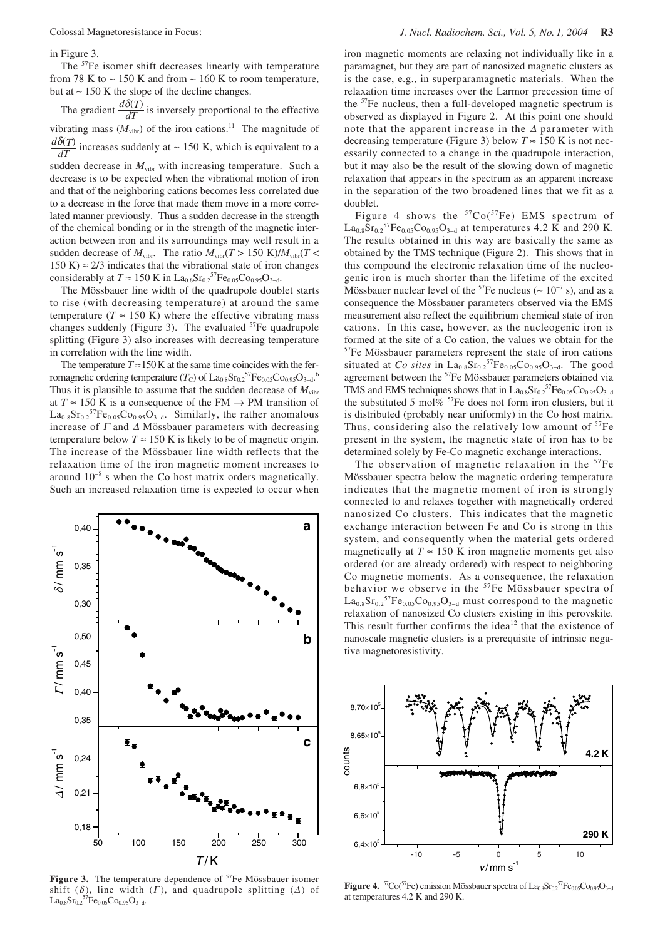in Figure 3.

The <sup>57</sup>Fe isomer shift decreases linearly with temperature from 78 K to ~ 150 K and from ~ 160 K to room temperature, but at ∼ 150 K the slope of the decline changes.

The gradient  $\frac{d\delta(T)}{dT}$  is inversely proportional to the effective vibrating mass  $(M_{\text{vibr}})$  of the iron cations.<sup>11</sup> The magnitude of  $\frac{d\delta(T)}{dT}$  increases suddenly at ~ 150 K, which is equivalent to a sudden decrease in  $M_{\text{vibr}}$  with increasing temperature. Such a *dT dT*

decrease is to be expected when the vibrational motion of iron and that of the neighboring cations becomes less correlated due to a decrease in the force that made them move in a more correlated manner previously. Thus a sudden decrease in the strength of the chemical bonding or in the strength of the magnetic interaction between iron and its surroundings may well result in a sudden decrease of  $M_{\text{vibr}}$ . The ratio  $M_{\text{vibr}}(T > 150 \text{ K})/M_{\text{vibr}}(T <$ 150 K)  $\approx$  2/3 indicates that the vibrational state of iron changes considerably at  $T \approx 150 \text{ K}$  in La<sub>0.8</sub>Sr<sub>0.2</sub><sup>57</sup>Fe<sub>0.05</sub>Co<sub>0.95</sub>O<sub>3-d</sub>.

The Mössbauer line width of the quadrupole doublet starts to rise (with decreasing temperature) at around the same temperature ( $T \approx 150$  K) where the effective vibrating mass changes suddenly (Figure 3). The evaluated  $57Fe$  quadrupole splitting (Figure 3) also increases with decreasing temperature in correlation with the line width.

The temperature  $T \approx 150$  K at the same time coincides with the ferromagnetic ordering temperature (*T*<sub>C</sub>) of  $\rm La_{0.8}Sr_{0.2}{}^{57}Fe_{0.05}Co_{0.95}O_{3-4}{}^{6}$ Thus it is plausible to assume that the sudden decrease of  $M_{\text{vibr}}$ at  $T \approx 150$  K is a consequence of the FM  $\rightarrow$  PM transition of  $La_{0.8}Sr_{0.2}^{57}Fe_{0.05}Co_{0.95}O_{3-d}$ . Similarly, the rather anomalous increase of  $\Gamma$  and  $\Delta$  Mössbauer parameters with decreasing temperature below  $T \approx 150$  K is likely to be of magnetic origin. The increase of the Mössbauer line width reflects that the relaxation time of the iron magnetic moment increases to around 10<sup>−</sup><sup>8</sup> s when the Co host matrix orders magnetically. Such an increased relaxation time is expected to occur when



Figure 3. The temperature dependence of <sup>57</sup>Fe Mössbauer isomer shift ( $\delta$ ), line width ( $\Gamma$ ), and quadrupole splitting ( $\Delta$ ) of La<sub>0.8</sub>Sr<sub>0.2</sub><sup>57</sup>Fe<sub>0.05</sub>Co<sub>0.95</sub>O<sub>3-d</sub>.

iron magnetic moments are relaxing not individually like in a paramagnet, but they are part of nanosized magnetic clusters as is the case, e.g., in superparamagnetic materials. When the relaxation time increases over the Larmor precession time of the 57Fe nucleus, then a full-developed magnetic spectrum is observed as displayed in Figure 2. At this point one should note that the apparent increase in the  $\Delta$  parameter with decreasing temperature (Figure 3) below  $T \approx 150$  K is not necessarily connected to a change in the quadrupole interaction, but it may also be the result of the slowing down of magnetic relaxation that appears in the spectrum as an apparent increase in the separation of the two broadened lines that we fit as a doublet.

Figure 4 shows the  ${}^{57}Co(^{57}Fe)$  EMS spectrum of  $\text{La}_{0.8}\text{Sr}_{0.2}^{57}\text{Fe}_{0.05}\text{Co}_{0.95}\text{O}_{3-d}$  at temperatures 4.2 K and 290 K. The results obtained in this way are basically the same as obtained by the TMS technique (Figure 2). This shows that in this compound the electronic relaxation time of the nucleogenic iron is much shorter than the lifetime of the excited Mössbauer nuclear level of the <sup>57</sup>Fe nucleus ( $\sim 10^{-7}$  s), and as a consequence the Mössbauer parameters observed via the EMS measurement also reflect the equilibrium chemical state of iron cations. In this case, however, as the nucleogenic iron is formed at the site of a Co cation, the values we obtain for the 57Fe Mössbauer parameters represent the state of iron cations situated at *Co sites* in  $La_{0.8}Sr_{0.2}^{57}Fe_{0.05}Co_{0.95}O_{3-d}$ . The good agreement between the 57Fe Mössbauer parameters obtained via TMS and EMS techniques shows that in  $La_{0.8}Sr_{0.2}^{57}Fe_{0.05}Co_{0.95}O_{3-d}$ the substituted 5 mol% <sup>57</sup>Fe does not form iron clusters, but it is distributed (probably near uniformly) in the Co host matrix. Thus, considering also the relatively low amount of  $57Fe$ present in the system, the magnetic state of iron has to be determined solely by Fe-Co magnetic exchange interactions.

The observation of magnetic relaxation in the  $57Fe$ Mössbauer spectra below the magnetic ordering temperature indicates that the magnetic moment of iron is strongly connected to and relaxes together with magnetically ordered nanosized Co clusters. This indicates that the magnetic exchange interaction between Fe and Co is strong in this system, and consequently when the material gets ordered magnetically at  $T \approx 150$  K iron magnetic moments get also ordered (or are already ordered) with respect to neighboring Co magnetic moments. As a consequence, the relaxation behavior we observe in the <sup>57</sup>Fe Mössbauer spectra of  $La_{0.8}Sr_{0.2}{}^{57}Fe_{0.05}Co_{0.95}O_{3-d}$  must correspond to the magnetic relaxation of nanosized Co clusters existing in this perovskite. This result further confirms the idea<sup>12</sup> that the existence of nanoscale magnetic clusters is a prerequisite of intrinsic negative magnetoresistivity.



**Figure 4.** <sup>57</sup>Co(<sup>57</sup>Fe) emission Mössbauer spectra of La<sub>0.8</sub>Sr<sub>0.2</sub><sup>57</sup>Fe<sub>0.05</sub>Co<sub>0.95</sub>O<sub>3-d</sub> at temperatures 4.2 K and 290 K.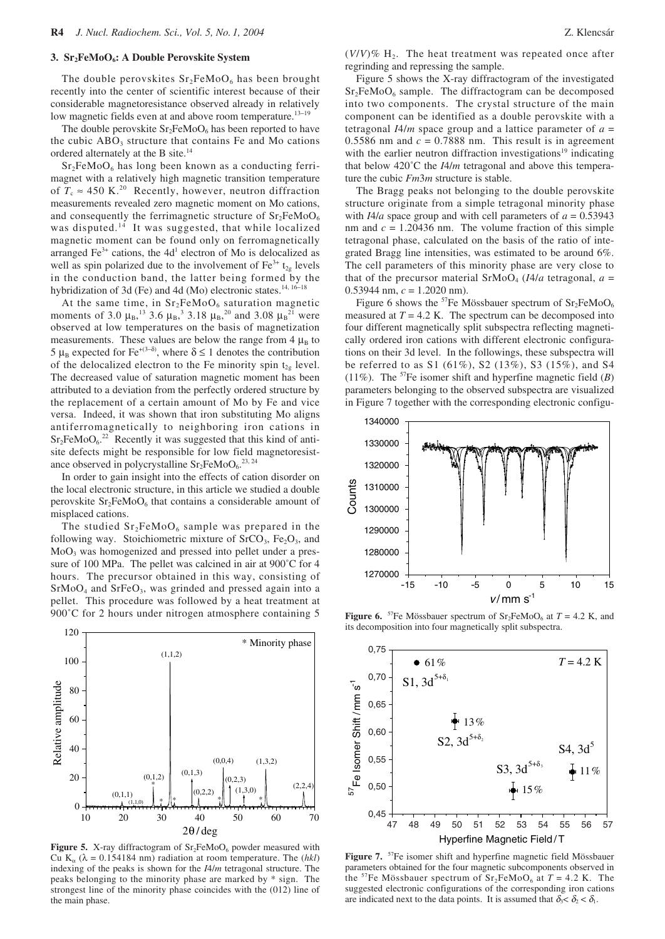## 3. Sr<sub>2</sub>FeMoO<sub>6</sub>: A Double Perovskite System

The double perovskites  $Sr<sub>2</sub>FeMoO<sub>6</sub>$  has been brought recently into the center of scientific interest because of their considerable magnetoresistance observed already in relatively low magnetic fields even at and above room temperature.13<sup>−</sup><sup>19</sup>

The double perovskite  $Sr<sub>2</sub>FeMoO<sub>6</sub>$  has been reported to have the cubic  $ABO<sub>3</sub>$  structure that contains Fe and Mo cations ordered alternately at the B site.14

 $Sr<sub>2</sub>FeMoO<sub>6</sub>$  has long been known as a conducting ferrimagnet with a relatively high magnetic transition temperature of  $T_c \approx 450$  K.<sup>20</sup> Recently, however, neutron diffraction measurements revealed zero magnetic moment on Mo cations, and consequently the ferrimagnetic structure of  $Sr<sub>2</sub>FeMoO<sub>6</sub>$ was disputed.<sup>14</sup> It was suggested, that while localized magnetic moment can be found only on ferromagnetically arranged  $Fe<sup>3+</sup>$  cations, the 4d<sup>1</sup> electron of Mo is delocalized as well as spin polarized due to the involvement of  $Fe^{3+} t_{2g}$  levels in the conduction band, the latter being formed by the hybridization of 3d (Fe) and 4d (Mo) electronic states.<sup>14, 16−18</sup>

At the same time, in  $Sr<sub>2</sub>FeMoO<sub>6</sub>$  saturation magnetic moments of 3.0  $\mu_B$ ,<sup>13</sup> 3.6  $\mu_B$ ,<sup>3</sup> 3.18  $\mu_B$ ,<sup>20</sup> and 3.08  $\mu_B$ <sup>21</sup> were observed at low temperatures on the basis of magnetization measurements. These values are below the range from  $4 \mu_B$  to 5 μ<sub>B</sub> expected for Fe<sup>+(3−δ)</sup>, where δ ≤ 1 denotes the contribution of the delocalized electron to the Fe minority spin  $t_{2g}$  level. The decreased value of saturation magnetic moment has been attributed to a deviation from the perfectly ordered structure by the replacement of a certain amount of Mo by Fe and vice versa. Indeed, it was shown that iron substituting Mo aligns antiferromagnetically to neighboring iron cations in  $Sr<sub>2</sub>FeMoO<sub>6</sub>^{22}$  Recently it was suggested that this kind of antisite defects might be responsible for low field magnetoresistance observed in polycrystalline  $Sr_2FeMoO<sub>6</sub>.<sup>23, 24</sup>$ 

In order to gain insight into the effects of cation disorder on the local electronic structure, in this article we studied a double perovskite  $Sr<sub>2</sub>FeMoO<sub>6</sub>$  that contains a considerable amount of misplaced cations.

The studied  $Sr<sub>2</sub>FeMoO<sub>6</sub>$  sample was prepared in the following way. Stoichiometric mixture of  $SrCO<sub>3</sub>$ , Fe<sub>2</sub>O<sub>3</sub>, and MoO3 was homogenized and pressed into pellet under a pressure of 100 MPa. The pellet was calcined in air at 900˚C for 4 hours. The precursor obtained in this way, consisting of  $SrMoO<sub>4</sub>$  and  $SrFeO<sub>3</sub>$ , was grinded and pressed again into a pellet. This procedure was followed by a heat treatment at 900°C for 2 hours under nitrogen atmosphere containing 5



Figure 5. X-ray diffractogram of Sr<sub>2</sub>FeMoO<sub>6</sub> powder measured with Cu K<sub>α</sub> ( $\lambda$  = 0.154184 nm) radiation at room temperature. The (*hkl*) indexing of the peaks is shown for the *I*4/*m* tetragonal structure. The peaks belonging to the minority phase are marked by \* sign. The strongest line of the minority phase coincides with the (012) line of the main phase.

 $(V/V)\%$  H<sub>2</sub>. The heat treatment was repeated once after regrinding and repressing the sample.

Figure 5 shows the X-ray diffractogram of the investigated  $Sr<sub>2</sub>FeMoO<sub>6</sub>$  sample. The diffractogram can be decomposed into two components. The crystal structure of the main component can be identified as a double perovskite with a tetragonal  $I4/m$  space group and a lattice parameter of  $a =$ 0.5586 nm and  $c = 0.7888$  nm. This result is in agreement with the earlier neutron diffraction investigations<sup>19</sup> indicating that below 420˚C the *I*4/*m* tetragonal and above this temperature the cubic *Fm*3*m* structure is stable.

The Bragg peaks not belonging to the double perovskite structure originate from a simple tetragonal minority phase with  $I4/a$  space group and with cell parameters of  $a = 0.53943$ nm and  $c = 1.20436$  nm. The volume fraction of this simple tetragonal phase, calculated on the basis of the ratio of integrated Bragg line intensities, was estimated to be around 6%. The cell parameters of this minority phase are very close to that of the precursor material  $SrMoO<sub>4</sub>$  (*I4/a* tetragonal,  $a =$ 0.53944 nm, *c* = 1.2020 nm).

Figure 6 shows the <sup>57</sup>Fe Mössbauer spectrum of  $Sr<sub>2</sub>FeMoO<sub>6</sub>$ measured at  $T = 4.2$  K. The spectrum can be decomposed into four different magnetically split subspectra reflecting magnetically ordered iron cations with different electronic configurations on their 3d level. In the followings, these subspectra will be referred to as S1 (61%), S2 (13%), S3 (15%), and S4 (11%). The  ${}^{57}Fe$  isomer shift and hyperfine magnetic field (*B*) parameters belonging to the observed subspectra are visualized in Figure 7 together with the corresponding electronic configu-



**Figure 6.** <sup>57</sup>Fe Mössbauer spectrum of  $Sr_2FeMoO_6$  at  $T = 4.2$  K, and its decomposition into four magnetically split subspectra.



Figure 7. <sup>57</sup>Fe isomer shift and hyperfine magnetic field Mössbauer parameters obtained for the four magnetic subcomponents observed in the <sup>57</sup>Fe Mössbauer spectrum of  $Sr_2FeMoO<sub>6</sub>$  at  $T = 4.2$  K. The suggested electronic configurations of the corresponding iron cations are indicated next to the data points. It is assumed that  $\delta_3 < \delta_2 < \delta_1$ .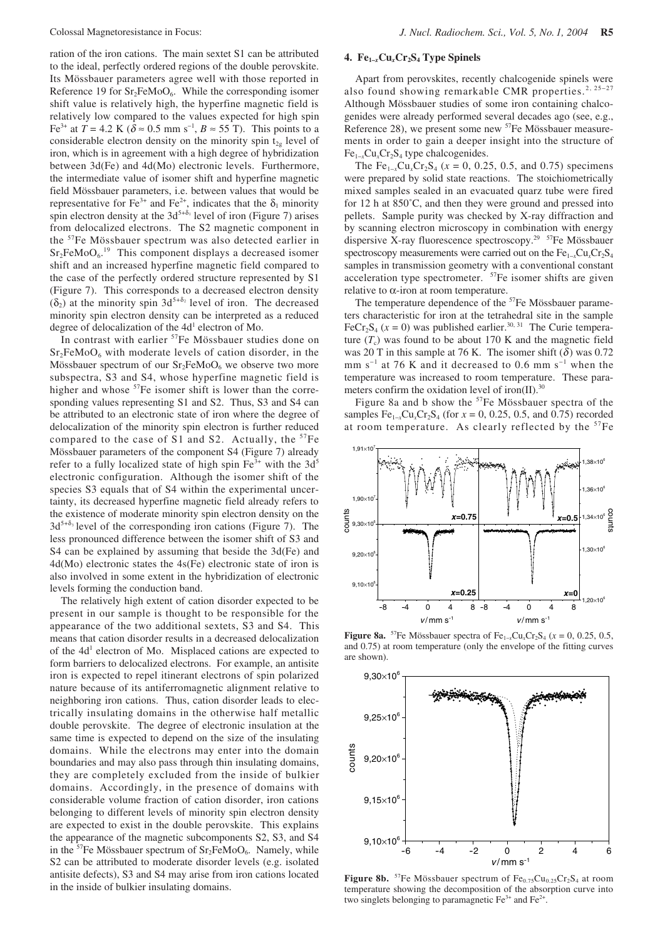ration of the iron cations. The main sextet S1 can be attributed to the ideal, perfectly ordered regions of the double perovskite. Its Mössbauer parameters agree well with those reported in Reference 19 for  $Sr<sub>2</sub>FeMoO<sub>6</sub>$ . While the corresponding isomer shift value is relatively high, the hyperfine magnetic field is relatively low compared to the values expected for high spin Fe<sup>3+</sup> at *T* = 4.2 K (δ ≈ 0.5 mm s<sup>-1</sup>, *B* ≈ 55 T). This points to a considerable electron density on the minority spin  $t_{2g}$  level of iron, which is in agreement with a high degree of hybridization between 3d(Fe) and 4d(Mo) electronic levels. Furthermore, the intermediate value of isomer shift and hyperfine magnetic field Mössbauer parameters, i.e. between values that would be representative for Fe<sup>3+</sup> and Fe<sup>2+</sup>, indicates that the  $\delta_1$  minority spin electron density at the 3d<sup>5+ $\delta_1$ </sup> level of iron (Figure 7) arises from delocalized electrons. The S2 magnetic component in the 57Fe Mössbauer spectrum was also detected earlier in  $Sr<sub>2</sub>FeMoO<sub>6</sub>$ .<sup>19</sup> This component displays a decreased isomer shift and an increased hyperfine magnetic field compared to the case of the perfectly ordered structure represented by S1 (Figure 7). This corresponds to a decreased electron density  $(\delta_2)$  at the minority spin 3d<sup>5+ $\delta_2$ </sup> level of iron. The decreased minority spin electron density can be interpreted as a reduced degree of delocalization of the  $4d<sup>1</sup>$  electron of Mo.

In contrast with earlier <sup>57</sup>Fe Mössbauer studies done on  $Sr<sub>2</sub>FeMoO<sub>6</sub>$  with moderate levels of cation disorder, in the Mössbauer spectrum of our  $Sr<sub>2</sub>FeMoO<sub>6</sub>$  we observe two more subspectra, S3 and S4, whose hyperfine magnetic field is higher and whose <sup>57</sup>Fe isomer shift is lower than the corresponding values representing S1 and S2. Thus, S3 and S4 can be attributed to an electronic state of iron where the degree of delocalization of the minority spin electron is further reduced compared to the case of S1 and S2. Actually, the  $57Fe$ Mössbauer parameters of the component S4 (Figure 7) already refer to a fully localized state of high spin  $Fe^{3+}$  with the 3d<sup>5</sup> electronic configuration. Although the isomer shift of the species S3 equals that of S4 within the experimental uncertainty, its decreased hyperfine magnetic field already refers to the existence of moderate minority spin electron density on the  $3d^{5+\delta_3}$  level of the corresponding iron cations (Figure 7). The less pronounced difference between the isomer shift of S3 and S4 can be explained by assuming that beside the 3d(Fe) and 4d(Mo) electronic states the 4s(Fe) electronic state of iron is also involved in some extent in the hybridization of electronic levels forming the conduction band.

The relatively high extent of cation disorder expected to be present in our sample is thought to be responsible for the appearance of the two additional sextets, S3 and S4. This means that cation disorder results in a decreased delocalization of the 4d<sup>1</sup> electron of Mo. Misplaced cations are expected to form barriers to delocalized electrons. For example, an antisite iron is expected to repel itinerant electrons of spin polarized nature because of its antiferromagnetic alignment relative to neighboring iron cations. Thus, cation disorder leads to electrically insulating domains in the otherwise half metallic double perovskite. The degree of electronic insulation at the same time is expected to depend on the size of the insulating domains. While the electrons may enter into the domain boundaries and may also pass through thin insulating domains, they are completely excluded from the inside of bulkier domains. Accordingly, in the presence of domains with considerable volume fraction of cation disorder, iron cations belonging to different levels of minority spin electron density are expected to exist in the double perovskite. This explains the appearance of the magnetic subcomponents S2, S3, and S4 in the <sup>57</sup>Fe Mössbauer spectrum of  $Sr<sub>2</sub>FeMoO<sub>6</sub>$ . Namely, while S2 can be attributed to moderate disorder levels (e.g. isolated antisite defects), S3 and S4 may arise from iron cations located in the inside of bulkier insulating domains.

# **4. Fe1–***x***Cu***x***Cr2S4 Type Spinels**

Apart from perovskites, recently chalcogenide spinels were also found showing remarkable CMR properties.<sup>2, 25−27</sup> Although Mössbauer studies of some iron containing chalcogenides were already performed several decades ago (see, e.g., Reference 28), we present some new <sup>57</sup>Fe Mössbauer measurements in order to gain a deeper insight into the structure of Fe<sub>1–*x*</sub>Cu<sub>*x*</sub>Cr<sub>2</sub>S<sub>4</sub> type chalcogenides.

The Fe<sub>1−*x*</sub>Cu<sub>*x*</sub>Cr<sub>2</sub>S<sub>4</sub> ( $x = 0, 0.25, 0.5,$  and 0.75) specimens were prepared by solid state reactions. The stoichiometrically mixed samples sealed in an evacuated quarz tube were fired for 12 h at 850˚C, and then they were ground and pressed into pellets. Sample purity was checked by X-ray diffraction and by scanning electron microscopy in combination with energy dispersive X-ray fluorescence spectroscopy.<sup>29</sup>  $57Fe$  Mössbauer spectroscopy measurements were carried out on the Fe<sub>1−*x*</sub>Cu<sub>*x*</sub>Cr<sub>2</sub>S<sub>4</sub> samples in transmission geometry with a conventional constant acceleration type spectrometer. 57Fe isomer shifts are given  $relative to  $\alpha$ -iron at room temperature.$ 

The temperature dependence of the <sup>57</sup>Fe Mössbauer parameters characteristic for iron at the tetrahedral site in the sample FeCr<sub>2</sub>S<sub>4</sub> ( $x = 0$ ) was published earlier.<sup>30, 31</sup> The Curie temperature  $(T_c)$  was found to be about 170 K and the magnetic field was 20 T in this sample at 76 K. The isomer shift  $(\delta)$  was 0.72 mm s<sup> $-1$ </sup> at 76 K and it decreased to 0.6 mm s<sup> $-1$ </sup> when the temperature was increased to room temperature. These parameters confirm the oxidation level of iron(II).<sup>30</sup>

Figure 8a and b show the 57Fe Mössbauer spectra of the samples  $Fe_{1-x}Cu_xCr_2S_4$  (for  $x = 0, 0.25, 0.5,$  and 0.75) recorded at room temperature. As clearly reflected by the <sup>57</sup>Fe



**Figure 8a.** <sup>57</sup>Fe Mössbauer spectra of Fe<sub>1-*x*</sub>Cu<sub>*x*</sub>Cr<sub>2</sub>S<sub>4</sub> ( $x = 0, 0.25, 0.5$ ) and 0.75) at room temperature (only the envelope of the fitting curves are shown).



Figure 8b. <sup>57</sup>Fe Mössbauer spectrum of Fe<sub>0.75</sub>Cu<sub>0.25</sub>Cr<sub>2</sub>S<sub>4</sub> at room temperature showing the decomposition of the absorption curve into two singlets belonging to paramagnetic  $Fe^{3+}$  and  $Fe^{2+}$ .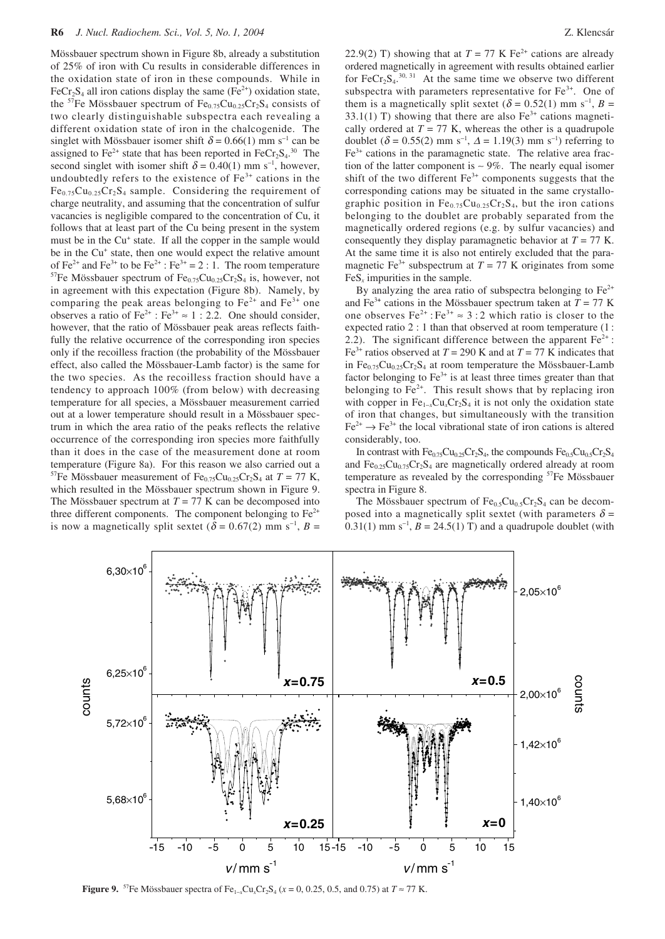Mössbauer spectrum shown in Figure 8b, already a substitution of 25% of iron with Cu results in considerable differences in the oxidation state of iron in these compounds. While in FeCr<sub>2</sub>S<sub>4</sub> all iron cations display the same (Fe<sup>2+</sup>) oxidation state, the <sup>57</sup>Fe Mössbauer spectrum of  $Fe_{0.75}Cu_{0.25}Cr_2S_4$  consists of two clearly distinguishable subspectra each revealing a different oxidation state of iron in the chalcogenide. The singlet with Mössbauer isomer shift  $\delta = 0.66(1)$  mm s<sup>-1</sup> can be assigned to  $Fe^{2+}$  state that has been reported in  $FeCr_2S_4$ .<sup>30</sup> The second singlet with isomer shift  $\delta = 0.40(1)$  mm s<sup>-1</sup>, however, undoubtedly refers to the existence of  $Fe<sup>3+</sup>$  cations in the  $Fe_{0.75}Cu_{0.25}Cr_2S_4$  sample. Considering the requirement of charge neutrality, and assuming that the concentration of sulfur vacancies is negligible compared to the concentration of Cu, it follows that at least part of the Cu being present in the system must be in the Cu<sup>+</sup> state. If all the copper in the sample would be in the Cu<sup>+</sup> state, then one would expect the relative amount of Fe<sup>2+</sup> and Fe<sup>3+</sup> to be Fe<sup>2+</sup> : Fe<sup>3+</sup> = 2 : 1. The room temperature <sup>57</sup>Fe Mössbauer spectrum of  $Fe_{0.75}Cu_{0.25}Cr_2S_4$  is, however, not in agreement with this expectation (Figure 8b). Namely, by comparing the peak areas belonging to  $Fe^{2+}$  and  $Fe^{3+}$  one observes a ratio of  $Fe^{2+}$ :  $Fe^{3+} \approx 1$ : 2.2. One should consider, however, that the ratio of Mössbauer peak areas reflects faithfully the relative occurrence of the corresponding iron species only if the recoilless fraction (the probability of the Mössbauer effect, also called the Mössbauer-Lamb factor) is the same for the two species. As the recoilless fraction should have a tendency to approach 100% (from below) with decreasing temperature for all species, a Mössbauer measurement carried out at a lower temperature should result in a Mössbauer spectrum in which the area ratio of the peaks reflects the relative occurrence of the corresponding iron species more faithfully than it does in the case of the measurement done at room temperature (Figure 8a). For this reason we also carried out a <sup>57</sup>Fe Mössbauer measurement of Fe<sub>0.75</sub>Cu<sub>0.25</sub>Cr<sub>2</sub>S<sub>4</sub> at *T* = 77 K, which resulted in the Mössbauer spectrum shown in Figure 9. The Mössbauer spectrum at  $T = 77$  K can be decomposed into three different components. The component belonging to  $Fe<sup>2+</sup>$ is now a magnetically split sextet  $(\delta = 0.67(2)$  mm s<sup>-1</sup>, *B* =

22.9(2) T) showing that at  $T = 77$  K Fe<sup>2+</sup> cations are already ordered magnetically in agreement with results obtained earlier for  $\text{FeCr}_2\text{S}_4$ <sup>30, 31</sup> At the same time we observe two different subspectra with parameters representative for  $Fe<sup>3+</sup>$ . One of them is a magnetically split sextet  $(\delta = 0.52(1)$  mm s<sup>-1</sup>, *B* = 33.1(1) T) showing that there are also  $Fe<sup>3+</sup>$  cations magnetically ordered at  $T = 77$  K, whereas the other is a quadrupole doublet ( $\delta$  = 0.55(2) mm s<sup>-1</sup>,  $\Delta$  = 1.19(3) mm s<sup>-1</sup>) referring to  $Fe<sup>3+</sup>$  cations in the paramagnetic state. The relative area fraction of the latter component is  $\sim$  9%. The nearly equal isomer shift of the two different  $Fe<sup>3+</sup>$  components suggests that the corresponding cations may be situated in the same crystallographic position in  $Fe_{0.75}Cu_{0.25}Cr_2S_4$ , but the iron cations belonging to the doublet are probably separated from the magnetically ordered regions (e.g. by sulfur vacancies) and consequently they display paramagnetic behavior at  $T = 77$  K. At the same time it is also not entirely excluded that the paramagnetic Fe<sup>3+</sup> subspectrum at  $T = 77$  K originates from some  $FeS<sub>x</sub>$  impurities in the sample.

By analyzing the area ratio of subspectra belonging to  $Fe<sup>2+</sup>$ and Fe<sup>3+</sup> cations in the Mössbauer spectrum taken at  $T = 77$  K one observes  $Fe^{2+}$ :  $Fe^{3+} \approx 3:2$  which ratio is closer to the expected ratio 2 : 1 than that observed at room temperature (1 : 2.2). The significant difference between the apparent  $Fe<sup>2+</sup>$ : Fe<sup>3+</sup> ratios observed at  $T = 290$  K and at  $T = 77$  K indicates that in  $Fe_{0.75}Cu_{0.25}Cr_2S_4$  at room temperature the Mössbauer-Lamb factor belonging to  $Fe^{3+}$  is at least three times greater than that belonging to  $Fe<sup>2+</sup>$ . This result shows that by replacing iron with copper in Fe<sub>1-*x*</sub>Cu<sub>*x*</sub>Cr<sub>2</sub>S<sub>4</sub> it is not only the oxidation state of iron that changes, but simultaneously with the transition  $Fe^{2+} \rightarrow Fe^{3+}$  the local vibrational state of iron cations is altered considerably, too.

In contrast with  $Fe_{0.75}Cu_{0.25}Cr_2S_4$ , the compounds  $Fe_{0.5}Cu_{0.5}Cr_2S_4$ and  $Fe_{0.25}Cu_{0.75}Cr_2S_4$  are magnetically ordered already at room temperature as revealed by the corresponding <sup>57</sup>Fe Mössbauer spectra in Figure 8.

The Mössbauer spectrum of  $Fe<sub>0.5</sub>Cu<sub>0.5</sub>Cr<sub>2</sub>S<sub>4</sub>$  can be decomposed into a magnetically split sextet (with parameters  $\delta$  = 0.31(1) mm s<sup>-1</sup>,  $B = 24.5(1)$  T) and a quadrupole doublet (with



**Figure 9.** <sup>57</sup>Fe Mössbauer spectra of Fe<sub>1−*x*</sub>Cu<sub>*x*</sub>Cr<sub>2</sub>S<sub>4</sub> ( $x$  = 0, 0.25, 0.5, and 0.75) at  $T \approx 77$  K.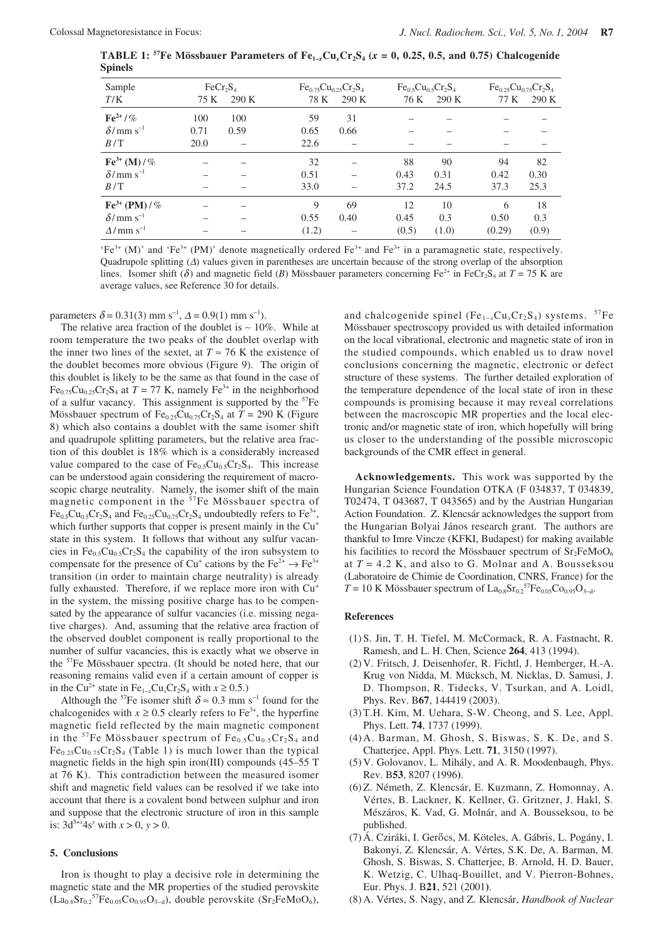**TABLE 1:** <sup>57</sup>Fe Mössbauer Parameters of Fe<sub>1–*x*</sub>Cu<sub>*x*</sub>Cr<sub>2</sub>S<sub>4</sub> ( $x = 0, 0.25, 0.5,$  and 0.75) Chalcogenide **Spinels**

| Sample                       | $\text{FeCr}_2\text{S}_4$ |       |       | $Fe_{0.75}Cu_{0.25}Cr_2S_4$ |       | $Fe0.5Cu0.5Cr2S4$ |        | $Fe_{0.25}Cu_{0.75}Cr_2S_4$ |  |
|------------------------------|---------------------------|-------|-------|-----------------------------|-------|-------------------|--------|-----------------------------|--|
| T/K                          | 75 K                      | 290 K | 78 K  | 290 K                       | 76 K  | 290 K             | 77 K   | 290 K                       |  |
| $\text{Fe}^{2+}$ / %         | 100                       | 100   | 59    | 31                          |       |                   |        |                             |  |
| $\delta$ /mm s <sup>-1</sup> | 0.71                      | 0.59  | 0.65  | 0.66                        |       |                   |        |                             |  |
| B/T                          | 20.0                      |       | 22.6  |                             |       |                   |        |                             |  |
| $\text{Fe}^{3+}$ (M) / %     |                           |       | 32    |                             | 88    | 90                | 94     | 82                          |  |
| $\delta$ /mm s <sup>-1</sup> |                           |       | 0.51  |                             | 0.43  | 0.31              | 0.42   | 0.30                        |  |
| B/T                          |                           |       | 33.0  |                             | 37.2  | 24.5              | 37.3   | 25.3                        |  |
| $Fe3+ (PM) / %$              |                           |       | 9     | 69                          | 12    | 10                | 6      | 18                          |  |
| $\delta$ /mm s <sup>-1</sup> |                           |       | 0.55  | 0.40                        | 0.45  | 0.3               | 0.50   | 0.3                         |  |
| $\Delta/\text{mm s}^{-1}$    |                           |       | (1.2) |                             | (0.5) | (1.0)             | (0.29) | (0.9)                       |  |

'Fe<sup>3+</sup> (M)' and 'Fe<sup>3+</sup> (PM)' denote magnetically ordered Fe<sup>3+</sup> and Fe<sup>3+</sup> in a paramagnetic state, respectively. Quadrupole splitting (∆) values given in parentheses are uncertain because of the strong overlap of the absorption lines. Isomer shift ( $\delta$ ) and magnetic field (*B*) Mössbauer parameters concerning Fe<sup>2+</sup> in FeCr<sub>2</sub>S<sub>4</sub> at *T* = 75 K are average values, see Reference 30 for details.

parameters  $\delta = 0.31(3)$  mm s<sup>-1</sup>,  $\Delta = 0.9(1)$  mm s<sup>-1</sup>).

The relative area fraction of the doublet is ∼ 10%. While at room temperature the two peaks of the doublet overlap with the inner two lines of the sextet, at  $T \approx 76$  K the existence of the doublet becomes more obvious (Figure 9). The origin of this doublet is likely to be the same as that found in the case of  $Fe_{0.75}Cu_{0.25}Cr_2S_4$  at  $T = 77$  K, namely  $Fe^{3+}$  in the neighborhood of a sulfur vacancy. This assignment is supported by the  $57Fe$ Mössbauer spectrum of  $Fe_{0.25}Cu_{0.75}Cr_2S_4$  at  $T = 290$  K (Figure 8) which also contains a doublet with the same isomer shift and quadrupole splitting parameters, but the relative area fraction of this doublet is 18% which is a considerably increased value compared to the case of  $Fe<sub>0.5</sub>Cu<sub>0.5</sub>Cr<sub>2</sub>S<sub>4</sub>$ . This increase can be understood again considering the requirement of macroscopic charge neutrality. Namely, the isomer shift of the main magnetic component in the  $57$ Fe Mössbauer spectra of  $Fe_{0.5}Cu_{0.5}Cr_2S_4$  and  $Fe_{0.25}Cu_{0.75}Cr_2S_4$  undoubtedly refers to  $Fe^{3+}$ , which further supports that copper is present mainly in the Cu<sup>+</sup> state in this system. It follows that without any sulfur vacancies in  $Fe_{0.5}Cu_{0.5}Cr_2S_4$  the capability of the iron subsystem to compensate for the presence of Cu<sup>+</sup> cations by the Fe<sup>2+</sup>  $\rightarrow$  Fe<sup>3+</sup> transition (in order to maintain charge neutrality) is already fully exhausted. Therefore, if we replace more iron with  $Cu<sup>+</sup>$ in the system, the missing positive charge has to be compensated by the appearance of sulfur vacancies (i.e. missing negative charges). And, assuming that the relative area fraction of the observed doublet component is really proportional to the number of sulfur vacancies, this is exactly what we observe in the 57Fe Mössbauer spectra. (It should be noted here, that our reasoning remains valid even if a certain amount of copper is in the Cu<sup>2+</sup> state in Fe<sub>1−*x*</sub>Cu<sub>*x*</sub>Cr<sub>2</sub>S<sub>4</sub> with *x* ≥ 0.5.)

Although the <sup>57</sup>Fe isomer shift  $\delta \approx 0.3$  mm s<sup>-1</sup> found for the chalcogenides with  $x \ge 0.5$  clearly refers to Fe<sup>3+</sup>, the hyperfine magnetic field reflected by the main magnetic component in the <sup>57</sup>Fe Mössbauer spectrum of  $Fe_{0.5}Cu_{0.5}Cr_2S_4$  and  $Fe<sub>0.25</sub>Cu<sub>0.75</sub>Cr<sub>2</sub>S<sub>4</sub>$  (Table 1) is much lower than the typical magnetic fields in the high spin iron(III) compounds (45–55 T at 76 K). This contradiction between the measured isomer shift and magnetic field values can be resolved if we take into account that there is a covalent bond between sulphur and iron and suppose that the electronic structure of iron in this sample is:  $3d^{5+x}4s^y$  with  $x > 0$ ,  $y > 0$ .

#### **5. Conclusions**

Iron is thought to play a decisive role in determining the magnetic state and the MR properties of the studied perovskite  $(La_{0.8}Sr_{0.2}{}^{57}Fe_{0.05}Co_{0.95}O_{3-d})$ , double perovskite  $(Sr_2FeMoO_6)$ ,

and chalcogenide spinel (Fe<sub>1−*x*</sub>Cu<sub>*x*</sub>Cr<sub>2</sub>S<sub>4</sub>) systems. <sup>57</sup>Fe Mössbauer spectroscopy provided us with detailed information on the local vibrational, electronic and magnetic state of iron in the studied compounds, which enabled us to draw novel conclusions concerning the magnetic, electronic or defect structure of these systems. The further detailed exploration of the temperature dependence of the local state of iron in these compounds is promising because it may reveal correlations between the macroscopic MR properties and the local electronic and/or magnetic state of iron, which hopefully will bring us closer to the understanding of the possible microscopic backgrounds of the CMR effect in general.

**Acknowledgements.** This work was supported by the Hungarian Science Foundation OTKA (F 034837, T 034839, T02474, T 043687, T 043565) and by the Austrian Hungarian Action Foundation. Z. Klencsár acknowledges the support from the Hungarian Bolyai János research grant. The authors are thankful to Imre Vincze (KFKI, Budapest) for making available his facilities to record the Mössbauer spectrum of  $Sr<sub>2</sub>FeMoO<sub>6</sub>$ at  $T = 4.2$  K, and also to G. Molnar and A. Bousseksou (Laboratoire de Chimie de Coordination, CNRS, France) for the  $T = 10$  K Mössbauer spectrum of La<sub>0.8</sub>Sr<sub>0.2</sub><sup>57</sup>Fe<sub>0.05</sub>Co<sub>0.95</sub>O<sub>3-d</sub>.

### **References**

- (1) S. Jin, T. H. Tiefel, M. McCormack, R. A. Fastnacht, R. Ramesh, and L. H. Chen, Science **264**, 413 (1994).
- (2) V. Fritsch, J. Deisenhofer, R. Fichtl, J. Hemberger, H.-A. Krug von Nidda, M. Mücksch, M. Nicklas, D. Samusi, J. D. Thompson, R. Tidecks, V. Tsurkan, and A. Loidl, Phys. Rev. B**67**, 144419 (2003).
- (3) T.H. Kim, M. Uehara, S-W. Cheong, and S. Lee, Appl. Phys. Lett. **74**, 1737 (1999).
- (4) A. Barman, M. Ghosh, S. Biswas, S. K. De, and S. Chatterjee, Appl. Phys. Lett. **71**, 3150 (1997).
- (5) V. Golovanov, L. Mihály, and A. R. Moodenbaugh, Phys. Rev. B**53**, 8207 (1996**)**.
- (6) Z. Németh, Z. Klencsár, E. Kuzmann, Z. Homonnay, A. Vértes, B. Lackner, K. Kellner, G. Gritzner, J. Hakl, S. Mészáros, K. Vad, G. Molnár, and A. Bousseksou, to be published.
- (7) Á. Cziráki, I. Gerőcs, M. Köteles, A. Gábris, L. Pogány, I. Bakonyi, Z. Klencsár, A. Vértes, S.K. De, A. Barman, M. Ghosh, S. Biswas, S. Chatterjee, B. Arnold, H. D. Bauer, K. Wetzig, C. Ulhaq-Bouillet, and V. Pierron-Bohnes, Eur. Phys. J. B**21**, 521 (2001**)**.
- (8) A. Vértes, S. Nagy, and Z. Klencsár, *Handbook of Nuclear*